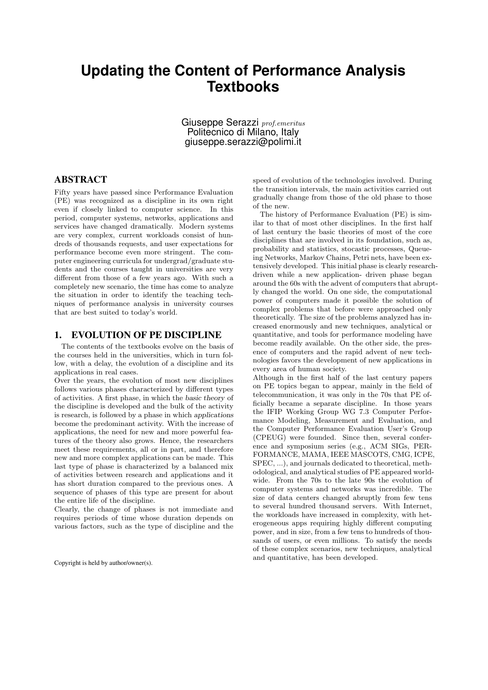# **Updating the Content of Performance Analysis Textbooks**

Giuseppe Serazzi *prof.emeritus* Politecnico di Milano, Italy giuseppe.serazzi@polimi.it

## ABSTRACT

Fifty years have passed since Performance Evaluation (PE) was recognized as a discipline in its own right even if closely linked to computer science. In this period, computer systems, networks, applications and services have changed dramatically. Modern systems are very complex, current workloads consist of hundreds of thousands requests, and user expectations for performance become even more stringent. The computer engineering curricula for undergrad/graduate students and the courses taught in universities are very different from those of a few years ago. With such a completely new scenario, the time has come to analyze the situation in order to identify the teaching techniques of performance analysis in university courses that are best suited to today's world.

#### 1. EVOLUTION OF PE DISCIPLINE

The contents of the textbooks evolve on the basis of the courses held in the universities, which in turn follow, with a delay, the evolution of a discipline and its applications in real cases.

Over the years, the evolution of most new disciplines follows various phases characterized by different types of activities. A first phase, in which the *basic theory* of the discipline is developed and the bulk of the activity is research, is followed by a phase in which *applications* become the predominant activity. With the increase of applications, the need for new and more powerful features of the theory also grows. Hence, the researchers meet these requirements, all or in part, and therefore new and more complex applications can be made. This last type of phase is characterized by a balanced mix of activities between research and applications and it has short duration compared to the previous ones. A sequence of phases of this type are present for about the entire life of the discipline.

Clearly, the change of phases is not immediate and requires periods of time whose duration depends on various factors, such as the type of discipline and the

Copyright is held by author/owner(s).

speed of evolution of the technologies involved. During the transition intervals, the main activities carried out gradually change from those of the old phase to those of the new.

The history of Performance Evaluation (PE) is similar to that of most other disciplines. In the first half of last century the basic theories of most of the core disciplines that are involved in its foundation, such as, probability and statistics, stocastic processes, Queueing Networks, Markov Chains, Petri nets, have been extensively developed. This initial phase is clearly researchdriven while a new application- driven phase began around the 60s with the advent of computers that abruptly changed the world. On one side, the computational power of computers made it possible the solution of complex problems that before were approached only theoretically. The size of the problems analyzed has increased enormously and new techniques, analytical or quantitative, and tools for performance modeling have become readily available. On the other side, the presence of computers and the rapid advent of new technologies favors the development of new applications in every area of human society.

Although in the first half of the last century papers on PE topics began to appear, mainly in the field of telecommunication, it was only in the 70s that PE officially became a separate discipline. In those years the IFIP Working Group WG 7.3 Computer Performance Modeling, Measurement and Evaluation, and the Computer Performance Evaluation User's Group (CPEUG) were founded. Since then, several conference and symposium series (e.g., ACM SIGs, PER-FORMANCE, MAMA, IEEE MASCOTS, CMG, ICPE, SPEC, ...), and journals dedicated to theoretical, methodological, and analytical studies of PE appeared worldwide. From the 70s to the late 90s the evolution of computer systems and networks was incredible. The size of data centers changed abruptly from few tens to several hundred thousand servers. With Internet, the workloads have increased in complexity, with heterogeneous apps requiring highly different computing power, and in size, from a few tens to hundreds of thousands of users, or even millions. To satisfy the needs of these complex scenarios, new techniques, analytical and quantitative, has been developed.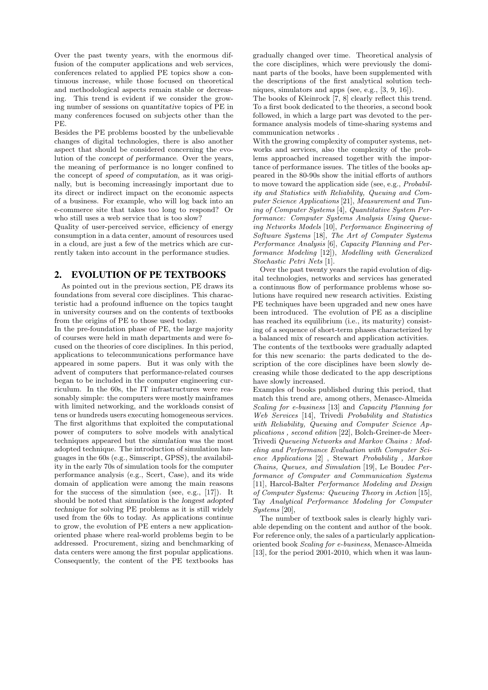Over the past twenty years, with the enormous diffusion of the computer applications and web services, conferences related to applied PE topics show a continuous increase, while those focused on theoretical and methodological aspects remain stable or decreasing. This trend is evident if we consider the growing number of sessions on *quantitative* topics of PE in many conferences focused on subjects other than the PE.

Besides the PE problems boosted by the unbelievable changes of digital technologies, there is also another aspect that should be considered concerning the evolution of the *concept of performance*. Over the years, the meaning of performance is no longer confined to the concept of *speed of computation*, as it was originally, but is becoming increasingly important due to its direct or indirect impact on the economic aspects of a business. For example, who will log back into an e-commerce site that takes too long to respond? Or who still uses a web service that is too slow?

Quality of user-perceived service, efficiency of energy consumption in a data center, amount of resources used in a cloud, are just a few of the metrics which are currently taken into account in the performance studies.

### 2. EVOLUTION OF PE TEXTBOOKS

As pointed out in the previous section, PE draws its foundations from several core disciplines. This characteristic had a profound influence on the topics taught in university courses and on the contents of textbooks from the origins of PE to those used today.

In the pre-foundation phase of PE, the large majority of courses were held in math departments and were focused on the theories of core disciplines. In this period, applications to telecommunications performance have appeared in some papers. But it was only with the advent of computers that performance-related courses began to be included in the computer engineering curriculum. In the 60s, the IT infrastructures were reasonably simple: the computers were mostly mainframes with limited networking, and the workloads consist of tens or hundreds users executing homogeneous services. The first algorithms that exploited the computational power of computers to solve models with analytical techniques appeared but the *simulation* was the most adopted technique. The introduction of simulation languages in the 60s (e.g., Simscript, GPSS), the availability in the early 70s of simulation tools for the computer performance analysis (e.g., Scert, Case), and its wide domain of application were among the main reasons for the success of the simulation (see, e.g., [17]). It should be noted that *simulation* is the *longest adopted technique* for solving PE problems as it is still widely used from the 60s to today. As applications continue to grow, the evolution of PE enters a new applicationoriented phase where real-world problems begin to be addressed. Procurement, sizing and benchmarking of data centers were among the first popular applications. Consequently, the content of the PE textbooks has gradually changed over time. Theoretical analysis of the core disciplines, which were previously the dominant parts of the books, have been supplemented with the descriptions of the first analytical solution techniques, simulators and apps (see, e.g., [3, 9, 16]).

The books of Kleinrock [7, 8] clearly reflect this trend. To a first book dedicated to the theories, a second book followed, in which a large part was devoted to the performance analysis models of time-sharing systems and communication networks .

With the growing complexity of computer systems, networks and services, also the complexity of the problems approached increased together with the importance of performance issues. The titles of the books appeared in the 80-90s show the initial efforts of authors to move toward the application side (see, e.g., *Probability and Statistics with Reliability, Queuing and Computer Science Applications* [21], *Measurement and Tuning of Computer Systems* [4], *Quantitative System Performance: Computer Systems Analysis Using Queueing Networks Models* [10], *Performance Engineering of Software Systems* [18], *The Art of Computer Systems Performance Analysis* [6], *Capacity Planning and Performance Modeling* [12]), *Modelling with Generalized Stochastic Petri Nets* [1].

Over the past twenty years the rapid evolution of digital technologies, networks and services has generated a continuous flow of performance problems whose solutions have required new research activities. Existing PE techniques have been upgraded and new ones have been introduced. The evolution of PE as a discipline has reached its equilibrium (i.e., its maturity) consisting of a sequence of short-term phases characterized by a balanced mix of research and application activities.

The contents of the textbooks were gradually adapted for this new scenario: the parts dedicated to the description of the core disciplines have been slowly decreasing while those dedicated to the app descriptions have slowly increased.

Examples of books published during this period, that match this trend are, among others, Menasce-Almeida *Scaling for e-business* [13] and *Capacity Planning for Web Services* [14], Trivedi *Probability and Statistics with Reliability, Queuing and Computer Science Applications , second edition* [22], Bolch-Greiner-de Meer-Trivedi *Queueing Networks and Markov Chains : Modeling and Performance Evaluation with Computer Science Applications* [2] , Stewart *Probability , Markov Chains, Queues, and Simulation* [19], Le Boudec *Performance of Computer and Communication Systems* [11], Harcol-Balter *Performance Modeling and Design of Computer Systems: Queueing Theory in Action* [15], Tay *Analytical Performance Modeling for Computer Systems* [20],

The number of textbook sales is clearly highly variable depending on the content and author of the book. For reference only, the sales of a particularly applicationoriented book *Scaling for e-business*, Menasce-Almeida [13], for the period 2001-2010, which when it was laun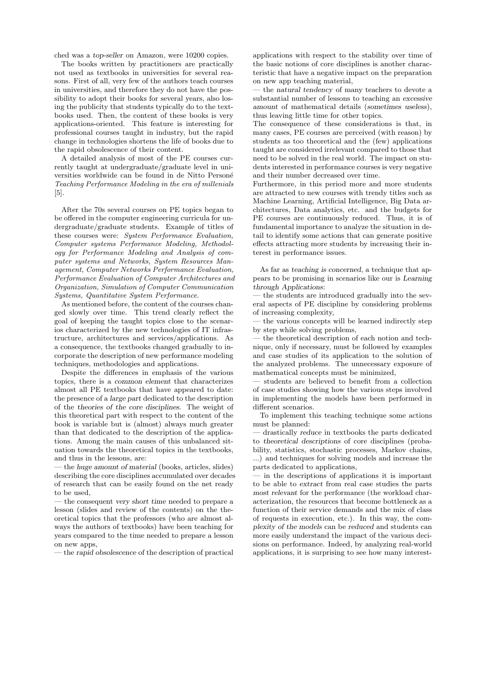ched was a *top-seller* on Amazon, were 10200 copies.

The books written by practitioners are practically not used as textbooks in universities for several reasons. First of all, very few of the authors teach courses in universities, and therefore they do not have the possibility to adopt their books for several years, also losing the publicity that students typically do to the textbooks used. Then, the content of these books is very applications-oriented. This feature is interesting for professional courses taught in industry, but the rapid change in technologies shortens the life of books due to the rapid obsolescence of their content.

A detailed analysis of most of the PE courses currently taught at undergraduate/graduate level in universities worldwide can be found in de Nitto Person´e *Teaching Performance Modeling in the era of millenials* [5].

After the 70s several courses on PE topics began to be offered in the computer engineering curricula for undergraduate/graduate students. Example of titles of these courses were: *System Performance Evaluation, Computer systems Performance Modeling, Methodology for Performance Modeling and Analysis of computer systems and Networks, System Resources Management, Computer Networks Performance Evaluation, Performance Evaluation of Computer Architectures and Organization, Simulation of Computer Communication Systems, Quantitative System Performance*.

As mentioned before, the content of the courses changed slowly over time. This trend clearly reflect the goal of keeping the taught topics close to the scenarios characterized by the new technologies of IT infrastructure, architectures and services/applications. As a consequence, the textbooks changed gradually to incorporate the description of new performance modeling techniques, methodologies and applications.

Despite the differences in emphasis of the various topics, there is a *common element* that characterizes almost all PE textbooks that have appeared to date: the presence of a *large part* dedicated to the description of the *theories of the core disciplines*. The weight of this theoretical part with respect to the content of the book is variable but is (almost) always much greater than that dedicated to the description of the applications. Among the main causes of this unbalanced situation towards the theoretical topics in the textbooks, and thus in the lessons, are:

— the *huge amount of material* (books, articles, slides) describing the core disciplines accumulated over decades of research that can be easily found on the net ready to be used,

— the consequent *very short time* needed to prepare a lesson (slides and review of the contents) on the theoretical topics that the professors (who are almost always the authors of textbooks) have been teaching for years compared to the time needed to prepare a lesson on new apps,

— the *rapid obsolescence* of the description of practical

applications with respect to the stability over time of the basic notions of core disciplines is another characteristic that have a negative impact on the preparation on new app teaching material,

— the *natural tendency* of many teachers to devote a substantial number of lessons to teaching an *excessive amount* of mathematical details (*sometimes useless*), thus leaving little time for other topics.

The consequence of these considerations is that, in many cases, PE courses are perceived (with reason) by students as too theoretical and the (few) applications taught are considered irrelevant compared to those that need to be solved in the real world. The impact on students interested in performance courses is very negative and their number decreased over time.

Furthermore, in this period more and more students are attracted to new courses with trendy titles such as Machine Learning, Artificial Intelligence, Big Data architectures, Data analytics, etc. and the budgets for PE courses are continuously reduced. Thus, it is of fundamental importance to analyze the situation in detail to identify some actions that can generate positive effects attracting more students by increasing their interest in performance issues.

As far as *teaching is concerned*, a technique that appears to be promising in scenarios like our is *Learning through Applications*:

— the students are introduced gradually into the several aspects of PE discipline by considering problems of increasing complexity,

— the various concepts will be learned indirectly step by step while solving problems,

— the theoretical description of each notion and technique, only if necessary, must be followed by examples and case studies of its application to the solution of the analyzed problems. The unnecessary exposure of mathematical concepts must be minimized,

— students are believed to benefit from a collection of case studies showing how the various steps involved in implementing the models have been performed in different scenarios.

To implement this teaching technique some actions must be planned:

— drastically *reduce* in textbooks the parts dedicated to *theoretical descriptions* of core disciplines (probability, statistics, stochastic processes, Markov chains, ...) and techniques for solving models and increase the parts dedicated to applications,

— in the descriptions of applications it is important to be able to *extract* from real case studies the parts *most relevant* for the performance (the workload characterization, the resources that become bottleneck as a function of their service demands and the mix of class of requests in execution, etc.). In this way, the *complexity of the models* can be *reduced* and students can more easily understand the impact of the various decisions on performance. Indeed, by analyzing real-world applications, it is surprising to see how many interest